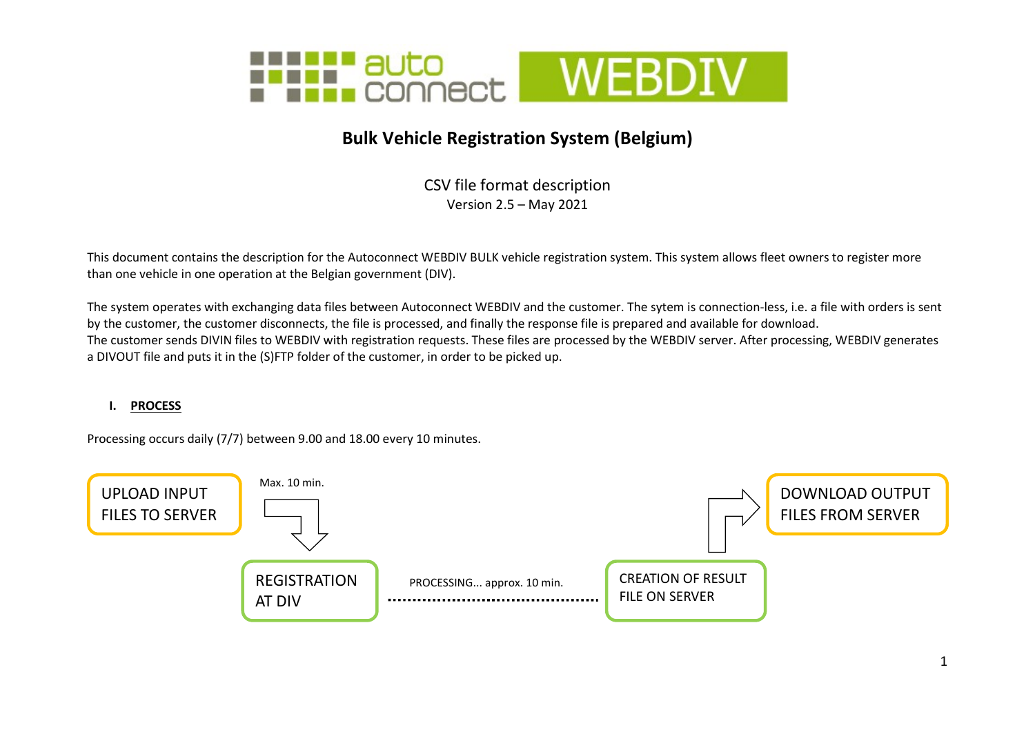

# Bulk Vehicle Registration System (Belgium)

CSV file format description Version 2.5 – May 2021

This document contains the description for the Autoconnect WEBDIV BULK vehicle registration system. This system allows fleet owners to register more than one vehicle in one operation at the Belgian government (DIV).

The system operates with exchanging data files between Autoconnect WEBDIV and the customer. The sytem is connection-less, i.e. a file with orders is sent by the customer, the customer disconnects, the file is processed, and finally the response file is prepared and available for download. The customer sends DIVIN files to WEBDIV with registration requests. These files are processed by the WEBDIV server. After processing, WEBDIV generates a DIVOUT file and puts it in the (S)FTP folder of the customer, in order to be picked up.

#### I. PROCESS

Processing occurs daily (7/7) between 9.00 and 18.00 every 10 minutes.

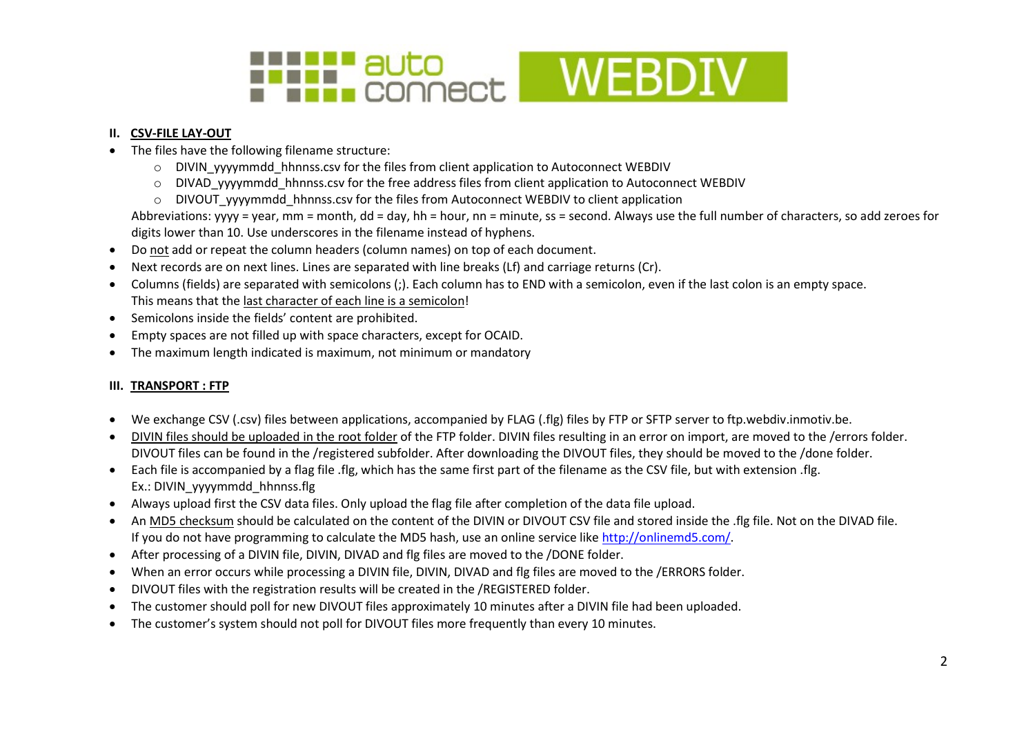

### II. CSV-FILE LAY-OUT

- The files have the following filename structure:
	- o DIVIN\_yyyymmdd\_hhnnss.csv for the files from client application to Autoconnect WEBDIV
	- o DIVAD\_yyyymmdd\_hhnnss.csv for the free address files from client application to Autoconnect WEBDIV
	- $\circ$  DIVOUT\_yyyymmdd\_hhnnss.csv for the files from Autoconnect WEBDIV to client application

Abbreviations: yyyy = year, mm = month, dd = day, hh = hour, nn = minute, ss = second. Always use the full number of characters, so add zeroes for digits lower than 10. Use underscores in the filename instead of hyphens.

- Do not add or repeat the column headers (column names) on top of each document.
- Next records are on next lines. Lines are separated with line breaks (Lf) and carriage returns (Cr).
- Columns (fields) are separated with semicolons (;). Each column has to END with a semicolon, even if the last colon is an empty space. This means that the last character of each line is a semicolon!
- Semicolons inside the fields' content are prohibited.
- Empty spaces are not filled up with space characters, except for OCAID.
- The maximum length indicated is maximum, not minimum or mandatory

### III. TRANSPORT : FTP

- We exchange CSV (.csv) files between applications, accompanied by FLAG (.flg) files by FTP or SFTP server to ftp.webdiv.inmotiv.be.
- DIVIN files should be uploaded in the root folder of the FTP folder. DIVIN files resulting in an error on import, are moved to the /errors folder. DIVOUT files can be found in the /registered subfolder. After downloading the DIVOUT files, they should be moved to the /done folder.
- Each file is accompanied by a flag file .flg, which has the same first part of the filename as the CSV file, but with extension .flg. Ex.: DIVIN\_yyyymmdd\_hhnnss.flg
- Always upload first the CSV data files. Only upload the flag file after completion of the data file upload.
- An MD5 checksum should be calculated on the content of the DIVIN or DIVOUT CSV file and stored inside the .flg file. Not on the DIVAD file. If you do not have programming to calculate the MD5 hash, use an online service like http://onlinemd5.com/.
- After processing of a DIVIN file, DIVIN, DIVAD and flg files are moved to the /DONE folder.
- When an error occurs while processing a DIVIN file, DIVIN, DIVAD and flg files are moved to the /ERRORS folder.
- DIVOUT files with the registration results will be created in the /REGISTERED folder.
- The customer should poll for new DIVOUT files approximately 10 minutes after a DIVIN file had been uploaded.
- The customer's system should not poll for DIVOUT files more frequently than every 10 minutes.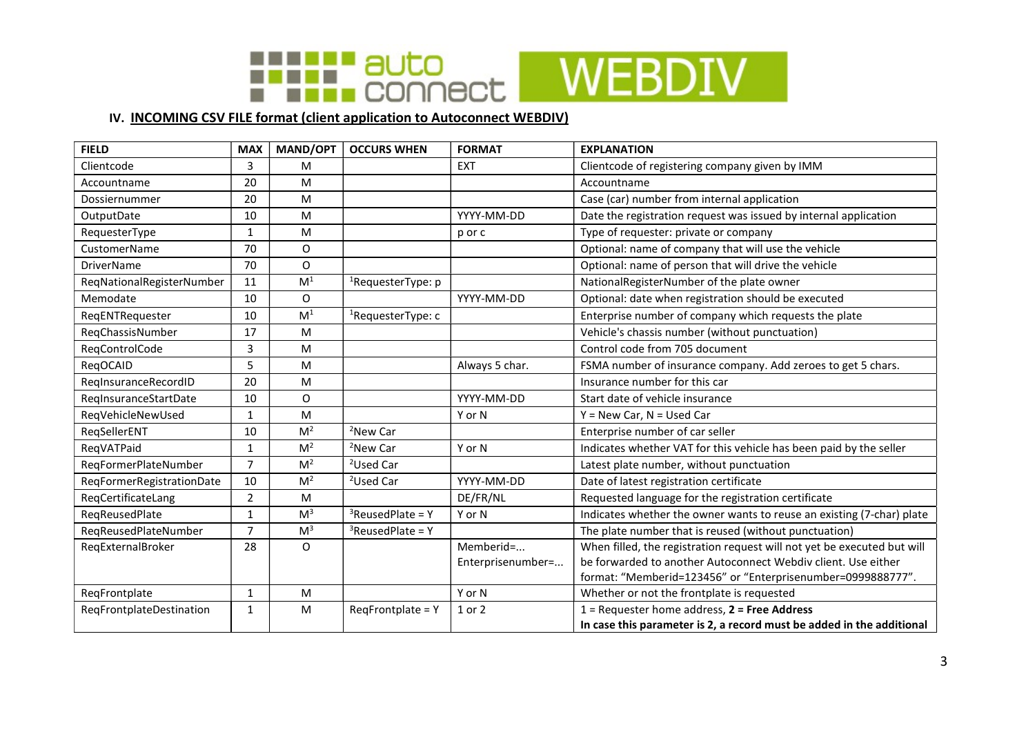

## IV. INCOMING CSV FILE format (client application to Autoconnect WEBDIV)

| <b>FIELD</b>              | <b>MAX</b>     | <b>MAND/OPT</b> | <b>OCCURS WHEN</b>            | <b>FORMAT</b>     | <b>EXPLANATION</b>                                                      |
|---------------------------|----------------|-----------------|-------------------------------|-------------------|-------------------------------------------------------------------------|
| Clientcode                | 3              | M               |                               | <b>EXT</b>        | Clientcode of registering company given by IMM                          |
| Accountname               | 20             | M               |                               |                   | Accountname                                                             |
| Dossiernummer             | 20             | M               |                               |                   | Case (car) number from internal application                             |
| OutputDate                | 10             | M               |                               | YYYY-MM-DD        | Date the registration request was issued by internal application        |
| RequesterType             | $\mathbf{1}$   | M               |                               | p or c            | Type of requester: private or company                                   |
| CustomerName              | 70             | O               |                               |                   | Optional: name of company that will use the vehicle                     |
| <b>DriverName</b>         | 70             | O               |                               |                   | Optional: name of person that will drive the vehicle                    |
| ReqNationalRegisterNumber | 11             | M <sup>1</sup>  | <sup>1</sup> RequesterType: p |                   | NationalRegisterNumber of the plate owner                               |
| Memodate                  | 10             | O               |                               | YYYY-MM-DD        | Optional: date when registration should be executed                     |
| ReqENTRequester           | 10             | M <sup>1</sup>  | ${}^{1}$ RequesterType: c     |                   | Enterprise number of company which requests the plate                   |
| RegChassisNumber          | 17             | M               |                               |                   | Vehicle's chassis number (without punctuation)                          |
| ReqControlCode            | 3              | M               |                               |                   | Control code from 705 document                                          |
| RegOCAID                  | 5              | M               |                               | Always 5 char.    | FSMA number of insurance company. Add zeroes to get 5 chars.            |
| RegInsuranceRecordID      | 20             | M               |                               |                   | Insurance number for this car                                           |
| RegInsuranceStartDate     | 10             | 0               |                               | YYYY-MM-DD        | Start date of vehicle insurance                                         |
| ReqVehicleNewUsed         | $\mathbf{1}$   | M               |                               | Y or N            | $Y = New Car, N = Used Car$                                             |
| RegSellerENT              | 10             | M <sup>2</sup>  | <sup>2</sup> New Car          |                   | Enterprise number of car seller                                         |
| ReqVATPaid                | $\mathbf{1}$   | M <sup>2</sup>  | <sup>2</sup> New Car          | Y or N            | Indicates whether VAT for this vehicle has been paid by the seller      |
| RegFormerPlateNumber      | $\overline{7}$ | M <sup>2</sup>  | <sup>2</sup> Used Car         |                   | Latest plate number, without punctuation                                |
| ReqFormerRegistrationDate | 10             | M <sup>2</sup>  | <sup>2</sup> Used Car         | YYYY-MM-DD        | Date of latest registration certificate                                 |
| RegCertificateLang        | $\overline{2}$ | M               |                               | DE/FR/NL          | Requested language for the registration certificate                     |
| RegReusedPlate            | $\mathbf{1}$   | M <sup>3</sup>  | $3$ ReusedPlate = Y           | Y or N            | Indicates whether the owner wants to reuse an existing (7-char) plate   |
| RegReusedPlateNumber      | $\overline{7}$ | M <sup>3</sup>  | $3$ ReusedPlate = Y           |                   | The plate number that is reused (without punctuation)                   |
| ReqExternalBroker         | 28             | 0               |                               | Memberid=         | When filled, the registration request will not yet be executed but will |
|                           |                |                 |                               | Enterprisenumber= | be forwarded to another Autoconnect Webdiv client. Use either           |
|                           |                |                 |                               |                   | format: "Memberid=123456" or "Enterprisenumber=0999888777".             |
| ReqFrontplate             | $\mathbf{1}$   | M               |                               | Y or N            | Whether or not the frontplate is requested                              |
| RegFrontplateDestination  | 1              | M               | RegFrontplate = Y             | 1 or 2            | $1$ = Requester home address, $2$ = Free Address                        |
|                           |                |                 |                               |                   | In case this parameter is 2, a record must be added in the additional   |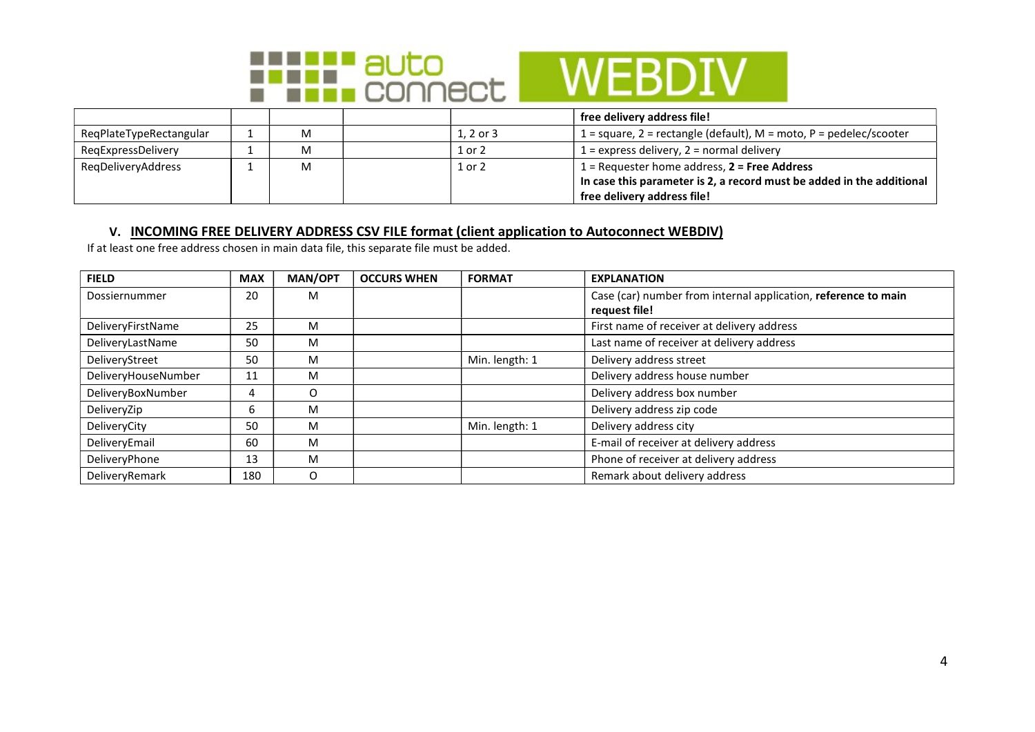

|                         |   |              | free delivery address file!                                           |
|-------------------------|---|--------------|-----------------------------------------------------------------------|
| ReqPlateTypeRectangular | M | $1.2$ or $3$ | 1 = square, 2 = rectangle (default), $M$ = moto, P = pedelec/scooter  |
| RegExpressDelivery      | M | 1 or 2       | $1 =$ express delivery, $2 =$ normal delivery                         |
| RegDeliveryAddress      | M | 1 or 2       | $1$ = Requester home address, $2$ = Free Address                      |
|                         |   |              | In case this parameter is 2, a record must be added in the additional |
|                         |   |              | free delivery address file!                                           |

### V. INCOMING FREE DELIVERY ADDRESS CSV FILE format (client application to Autoconnect WEBDIV)

If at least one free address chosen in main data file, this separate file must be added.

| <b>FIELD</b>        | <b>MAX</b> | <b>MAN/OPT</b> | <b>OCCURS WHEN</b> | <b>FORMAT</b>  | <b>EXPLANATION</b>                                             |
|---------------------|------------|----------------|--------------------|----------------|----------------------------------------------------------------|
| Dossiernummer       | 20         | M              |                    |                | Case (car) number from internal application, reference to main |
|                     |            |                |                    |                | request file!                                                  |
| DeliveryFirstName   | 25         | м              |                    |                | First name of receiver at delivery address                     |
| DeliveryLastName    | 50         | м              |                    |                | Last name of receiver at delivery address                      |
| DeliveryStreet      | 50         | м              |                    | Min. length: 1 | Delivery address street                                        |
| DeliveryHouseNumber | 11         | м              |                    |                | Delivery address house number                                  |
| DeliveryBoxNumber   | 4          | O              |                    |                | Delivery address box number                                    |
| DeliveryZip         | b          | м              |                    |                | Delivery address zip code                                      |
| DeliveryCity        | 50         | м              |                    | Min. length: 1 | Delivery address city                                          |
| DeliveryEmail       | 60         | м              |                    |                | E-mail of receiver at delivery address                         |
| DeliveryPhone       | 13         | м              |                    |                | Phone of receiver at delivery address                          |
| DeliveryRemark      | 180        | O              |                    |                | Remark about delivery address                                  |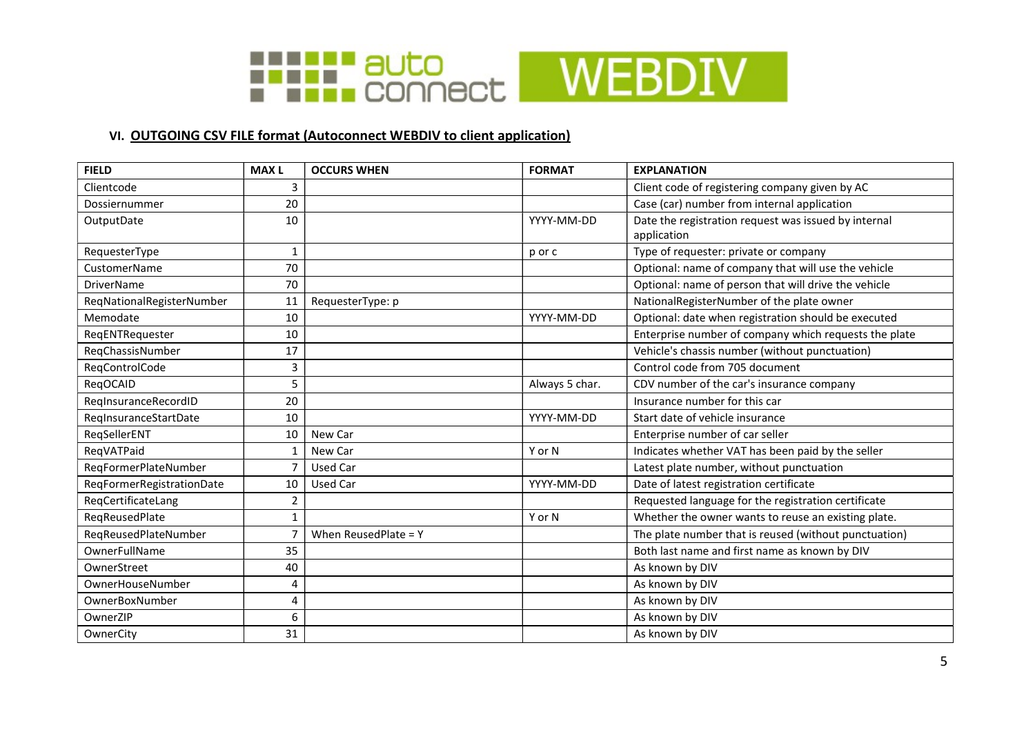

## VI. OUTGOING CSV FILE format (Autoconnect WEBDIV to client application)

| <b>FIELD</b>              | <b>MAXL</b>    | <b>OCCURS WHEN</b>   | <b>FORMAT</b>  | <b>EXPLANATION</b>                                    |
|---------------------------|----------------|----------------------|----------------|-------------------------------------------------------|
| Clientcode                | 3              |                      |                | Client code of registering company given by AC        |
| Dossiernummer             | 20             |                      |                | Case (car) number from internal application           |
| OutputDate                | 10             |                      | YYYY-MM-DD     | Date the registration request was issued by internal  |
|                           |                |                      |                | application                                           |
| RequesterType             | $\mathbf{1}$   |                      | p or c         | Type of requester: private or company                 |
| <b>CustomerName</b>       | 70             |                      |                | Optional: name of company that will use the vehicle   |
| <b>DriverName</b>         | 70             |                      |                | Optional: name of person that will drive the vehicle  |
| ReqNationalRegisterNumber | 11             | RequesterType: p     |                | NationalRegisterNumber of the plate owner             |
| Memodate                  | 10             |                      | YYYY-MM-DD     | Optional: date when registration should be executed   |
| ReqENTRequester           | 10             |                      |                | Enterprise number of company which requests the plate |
| RegChassisNumber          | 17             |                      |                | Vehicle's chassis number (without punctuation)        |
| RegControlCode            | 3              |                      |                | Control code from 705 document                        |
| RegOCAID                  | 5              |                      | Always 5 char. | CDV number of the car's insurance company             |
| RegInsuranceRecordID      | 20             |                      |                | Insurance number for this car                         |
| RegInsuranceStartDate     | 10             |                      | YYYY-MM-DD     | Start date of vehicle insurance                       |
| RegSellerENT              | 10             | New Car              |                | Enterprise number of car seller                       |
| ReqVATPaid                | 1              | New Car              | Y or N         | Indicates whether VAT has been paid by the seller     |
| ReqFormerPlateNumber      | $\overline{7}$ | <b>Used Car</b>      |                | Latest plate number, without punctuation              |
| ReqFormerRegistrationDate | 10             | <b>Used Car</b>      | YYYY-MM-DD     | Date of latest registration certificate               |
| ReqCertificateLang        | 2              |                      |                | Requested language for the registration certificate   |
| ReqReusedPlate            | $\mathbf{1}$   |                      | Y or N         | Whether the owner wants to reuse an existing plate.   |
| RegReusedPlateNumber      | $\overline{7}$ | When ReusedPlate = Y |                | The plate number that is reused (without punctuation) |
| OwnerFullName             | 35             |                      |                | Both last name and first name as known by DIV         |
| OwnerStreet               | 40             |                      |                | As known by DIV                                       |
| OwnerHouseNumber          | 4              |                      |                | As known by DIV                                       |
| OwnerBoxNumber            | 4              |                      |                | As known by DIV                                       |
| OwnerZIP                  | 6              |                      |                | As known by DIV                                       |
| OwnerCity                 | 31             |                      |                | As known by DIV                                       |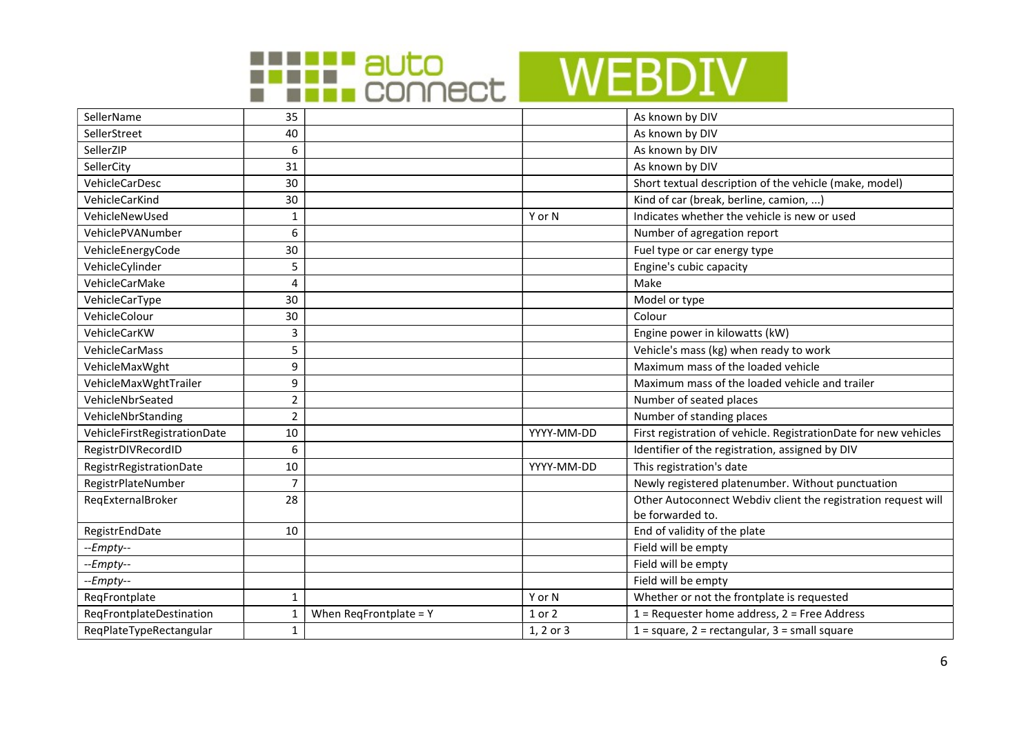



| SellerName                   | 35             |                           |            | As known by DIV                                                  |
|------------------------------|----------------|---------------------------|------------|------------------------------------------------------------------|
| SellerStreet                 | 40             |                           |            | As known by DIV                                                  |
| SellerZIP                    | 6              |                           |            | As known by DIV                                                  |
| SellerCity                   | 31             |                           |            | As known by DIV                                                  |
| VehicleCarDesc               | 30             |                           |            | Short textual description of the vehicle (make, model)           |
| VehicleCarKind               | 30             |                           |            | Kind of car (break, berline, camion, )                           |
| VehicleNewUsed               | 1              |                           | Y or N     | Indicates whether the vehicle is new or used                     |
| VehiclePVANumber             | 6              |                           |            | Number of agregation report                                      |
| VehicleEnergyCode            | 30             |                           |            | Fuel type or car energy type                                     |
| VehicleCylinder              | 5              |                           |            | Engine's cubic capacity                                          |
| VehicleCarMake               | $\overline{4}$ |                           |            | Make                                                             |
| VehicleCarType               | 30             |                           |            | Model or type                                                    |
| VehicleColour                | 30             |                           |            | Colour                                                           |
| VehicleCarKW                 | 3              |                           |            | Engine power in kilowatts (kW)                                   |
| <b>VehicleCarMass</b>        | 5              |                           |            | Vehicle's mass (kg) when ready to work                           |
| VehicleMaxWght               | 9              |                           |            | Maximum mass of the loaded vehicle                               |
| VehicleMaxWghtTrailer        | 9              |                           |            | Maximum mass of the loaded vehicle and trailer                   |
| VehicleNbrSeated             | $\mathbf 2$    |                           |            | Number of seated places                                          |
| VehicleNbrStanding           | $\overline{2}$ |                           |            | Number of standing places                                        |
| VehicleFirstRegistrationDate | 10             |                           | YYYY-MM-DD | First registration of vehicle. RegistrationDate for new vehicles |
| RegistrDIVRecordID           | 6              |                           |            | Identifier of the registration, assigned by DIV                  |
| RegistrRegistrationDate      | 10             |                           | YYYY-MM-DD | This registration's date                                         |
| RegistrPlateNumber           | $\overline{7}$ |                           |            | Newly registered platenumber. Without punctuation                |
| ReqExternalBroker            | 28             |                           |            | Other Autoconnect Webdiv client the registration request will    |
|                              |                |                           |            | be forwarded to.                                                 |
| RegistrEndDate               | 10             |                           |            | End of validity of the plate                                     |
| $-Fmpty-$                    |                |                           |            | Field will be empty                                              |
| --Empty--                    |                |                           |            | Field will be empty                                              |
| $-Fmpty-$                    |                |                           |            | Field will be empty                                              |
| ReqFrontplate                | 1              |                           | Y or N     | Whether or not the frontplate is requested                       |
| ReqFrontplateDestination     | $\mathbf{1}$   | When $Req$ Frontplate = Y | 1 or 2     | $1$ = Requester home address, $2$ = Free Address                 |
| ReqPlateTypeRectangular      | $\mathbf{1}$   |                           | 1, 2 or 3  | $1 = square, 2 = rectangular, 3 = small square$                  |